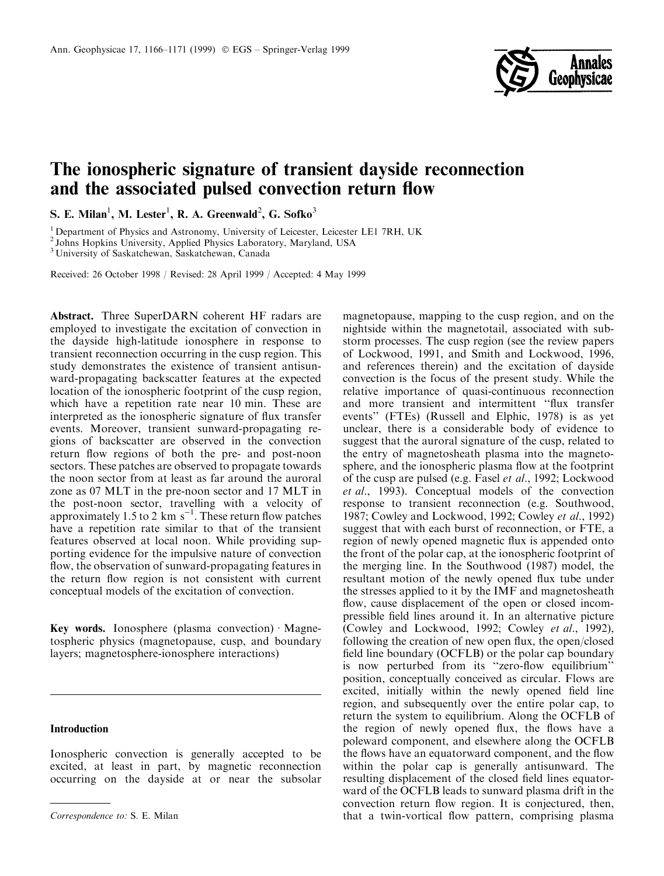

# The ionospheric signature of transient dayside reconnection and the associated pulsed convection return flow

S. E. Milan<sup>1</sup>, M. Lester<sup>1</sup>, R. A. Greenwald<sup>2</sup>, G. Sofko<sup>3</sup>

<sup>1</sup> Department of Physics and Astronomy, University of Leicester, Leicester LE1 7RH, UK

<sup>2</sup> Johns Hopkins University, Applied Physics Laboratory, Maryland, USA

<sup>3</sup> University of Saskatchewan, Saskatchewan, Canada

Received: 26 October 1998 / Revised: 28 April 1999 / Accepted: 4 May 1999

Abstract. Three SuperDARN coherent HF radars are employed to investigate the excitation of convection in the dayside high-latitude ionosphere in response to transient reconnection occurring in the cusp region. This study demonstrates the existence of transient antisunward-propagating backscatter features at the expected location of the ionospheric footprint of the cusp region, which have a repetition rate near 10 min. These are interpreted as the ionospheric signature of flux transfer events. Moreover, transient sunward-propagating regions of backscatter are observed in the convection return flow regions of both the pre- and post-noon sectors. These patches are observed to propagate towards the noon sector from at least as far around the auroral zone as 07 MLT in the pre-noon sector and 17 MLT in the post-noon sector, travelling with a velocity of approximately 1.5 to 2 km s<sup>-1</sup>. These return flow patches have a repetition rate similar to that of the transient features observed at local noon. While providing supporting evidence for the impulsive nature of convection flow, the observation of sunward-propagating features in the return flow region is not consistent with current conceptual models of the excitation of convection.

Key words. Ionosphere (plasma convection)  $\cdot$  Magnetospheric physics (magnetopause, cusp, and boundary layers; magnetosphere-ionosphere interactions)

## Introduction

Ionospheric convection is generally accepted to be excited, at least in part, by magnetic reconnection occurring on the dayside at or near the subsolar

magnetopause, mapping to the cusp region, and on the nightside within the magnetotail, associated with substorm processes. The cusp region (see the review papers of Lockwood, 1991, and Smith and Lockwood, 1996, and references therein) and the excitation of dayside convection is the focus of the present study. While the relative importance of quasi-continuous reconnection and more transient and intermittent "flux transfer events'' (FTEs) (Russell and Elphic, 1978) is as yet unclear, there is a considerable body of evidence to suggest that the auroral signature of the cusp, related to the entry of magnetosheath plasma into the magnetosphere, and the ionospheric plasma flow at the footprint of the cusp are pulsed (e.g. Fasel et al., 1992; Lockwood et al., 1993). Conceptual models of the convection response to transient reconnection (e.g. Southwood, 1987; Cowley and Lockwood, 1992; Cowley et al., 1992) suggest that with each burst of reconnection, or FTE, a region of newly opened magnetic flux is appended onto the front of the polar cap, at the ionospheric footprint of the merging line. In the Southwood (1987) model, the resultant motion of the newly opened flux tube under the stresses applied to it by the IMF and magnetosheath flow, cause displacement of the open or closed incompressible field lines around it. In an alternative picture (Cowley and Lockwood, 1992; Cowley et al., 1992), following the creation of new open flux, the open/closed field line boundary (OCFLB) or the polar cap boundary is now perturbed from its "zero-flow equilibrium" position, conceptually conceived as circular. Flows are excited, initially within the newly opened field line region, and subsequently over the entire polar cap, to return the system to equilibrium. Along the OCFLB of the region of newly opened flux, the flows have a poleward component, and elsewhere along the OCFLB the flows have an equatorward component, and the flow within the polar cap is generally antisunward. The resulting displacement of the closed field lines equatorward of the OCFLB leads to sunward plasma drift in the convection return flow region. It is conjectured, then, Correspondence to: S. E. Milan that a twin-vortical flow pattern, comprising plasma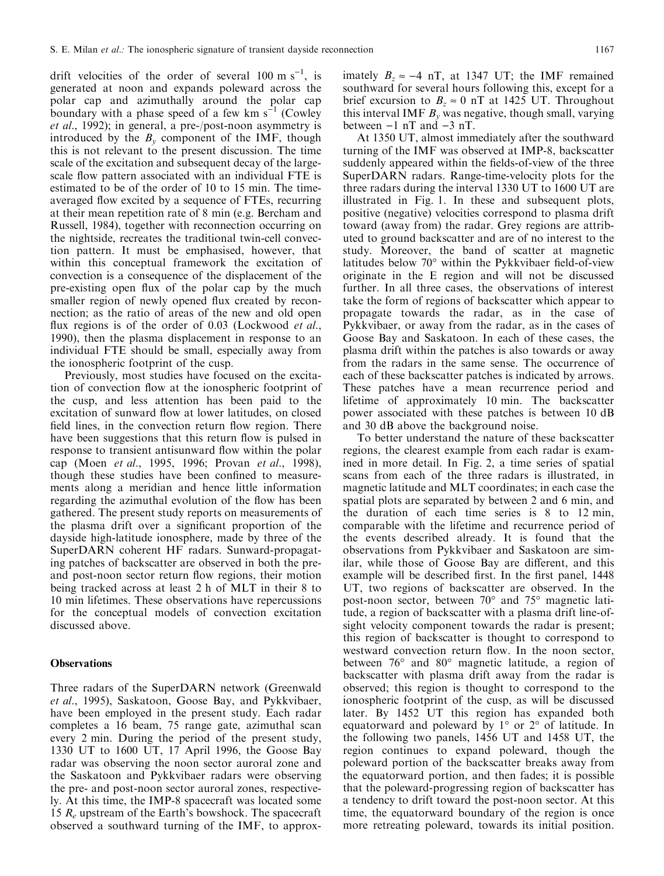drift velocities of the order of several  $100 \text{ m s}^{-1}$ , is generated at noon and expands poleward across the polar cap and azimuthally around the polar cap boundary with a phase speed of a few km  $s^{-1}$  (Cowley et al., 1992); in general, a pre-/post-noon asymmetry is introduced by the  $B_y$  component of the IMF, though this is not relevant to the present discussion. The time scale of the excitation and subsequent decay of the largescale flow pattern associated with an individual FTE is estimated to be of the order of 10 to 15 min. The timeaveraged flow excited by a sequence of FTEs, recurring at their mean repetition rate of 8 min (e.g. Bercham and Russell, 1984), together with reconnection occurring on the nightside, recreates the traditional twin-cell convection pattern. It must be emphasised, however, that within this conceptual framework the excitation of convection is a consequence of the displacement of the pre-existing open flux of the polar cap by the much smaller region of newly opened flux created by reconnection; as the ratio of areas of the new and old open flux regions is of the order of  $0.03$  (Lockwood *et al.*, 1990), then the plasma displacement in response to an individual FTE should be small, especially away from the ionospheric footprint of the cusp.

Previously, most studies have focused on the excitation of convection flow at the ionospheric footprint of the cusp, and less attention has been paid to the excitation of sunward flow at lower latitudes, on closed field lines, in the convection return flow region. There have been suggestions that this return flow is pulsed in response to transient antisunward flow within the polar cap (Moen et al., 1995, 1996; Provan et al., 1998), though these studies have been confined to measurements along a meridian and hence little information regarding the azimuthal evolution of the flow has been gathered. The present study reports on measurements of the plasma drift over a significant proportion of the dayside high-latitude ionosphere, made by three of the SuperDARN coherent HF radars. Sunward-propagating patches of backscatter are observed in both the preand post-noon sector return flow regions, their motion being tracked across at least 2 h of MLT in their 8 to 10 min lifetimes. These observations have repercussions for the conceptual models of convection excitation discussed above.

### **Observations**

Three radars of the SuperDARN network (Greenwald et al., 1995), Saskatoon, Goose Bay, and Pykkvibaer, have been employed in the present study. Each radar completes a 16 beam, 75 range gate, azimuthal scan every 2 min. During the period of the present study, 1330 UT to 1600 UT, 17 April 1996, the Goose Bay radar was observing the noon sector auroral zone and the Saskatoon and Pykkvibaer radars were observing the pre- and post-noon sector auroral zones, respectively. At this time, the IMP-8 spacecraft was located some 15  $R_e$  upstream of the Earth's bowshock. The spacecraft observed a southward turning of the IMF, to approximately  $B_z \approx -4$  nT, at 1347 UT; the IMF remained southward for several hours following this, except for a brief excursion to  $B_z \approx 0$  nT at 1425 UT. Throughout this interval IMF  $B<sub>v</sub>$  was negative, though small, varying between  $-1$  nT and  $-3$  nT.

At 1350 UT, almost immediately after the southward turning of the IMF was observed at IMP-8, backscatter suddenly appeared within the fields-of-view of the three SuperDARN radars. Range-time-velocity plots for the three radars during the interval 1330 UT to 1600 UT are illustrated in Fig. 1. In these and subsequent plots, positive (negative) velocities correspond to plasma drift toward (away from) the radar. Grey regions are attributed to ground backscatter and are of no interest to the study. Moreover, the band of scatter at magnetic latitudes below 70° within the Pykkvibaer field-of-view originate in the E region and will not be discussed further. In all three cases, the observations of interest take the form of regions of backscatter which appear to propagate towards the radar, as in the case of Pykkvibaer, or away from the radar, as in the cases of Goose Bay and Saskatoon. In each of these cases, the plasma drift within the patches is also towards or away from the radars in the same sense. The occurrence of each of these backscatter patches is indicated by arrows. These patches have a mean recurrence period and lifetime of approximately 10 min. The backscatter power associated with these patches is between 10 dB and 30 dB above the background noise.

To better understand the nature of these backscatter regions, the clearest example from each radar is examined in more detail. In Fig. 2, a time series of spatial scans from each of the three radars is illustrated, in magnetic latitude and MLT coordinates; in each case the spatial plots are separated by between 2 and 6 min, and the duration of each time series is 8 to 12 min, comparable with the lifetime and recurrence period of the events described already. It is found that the observations from Pykkvibaer and Saskatoon are similar, while those of Goose Bay are different, and this example will be described first. In the first panel, 1448 UT, two regions of backscatter are observed. In the post-noon sector, between 70° and 75° magnetic latitude, a region of backscatter with a plasma drift line-ofsight velocity component towards the radar is present; this region of backscatter is thought to correspond to westward convection return flow. In the noon sector, between 76° and 80° magnetic latitude, a region of backscatter with plasma drift away from the radar is observed; this region is thought to correspond to the ionospheric footprint of the cusp, as will be discussed later. By 1452 UT this region has expanded both equatorward and poleward by 1° or 2° of latitude. In the following two panels, 1456 UT and 1458 UT, the region continues to expand poleward, though the poleward portion of the backscatter breaks away from the equatorward portion, and then fades; it is possible that the poleward-progressing region of backscatter has a tendency to drift toward the post-noon sector. At this time, the equatorward boundary of the region is once more retreating poleward, towards its initial position.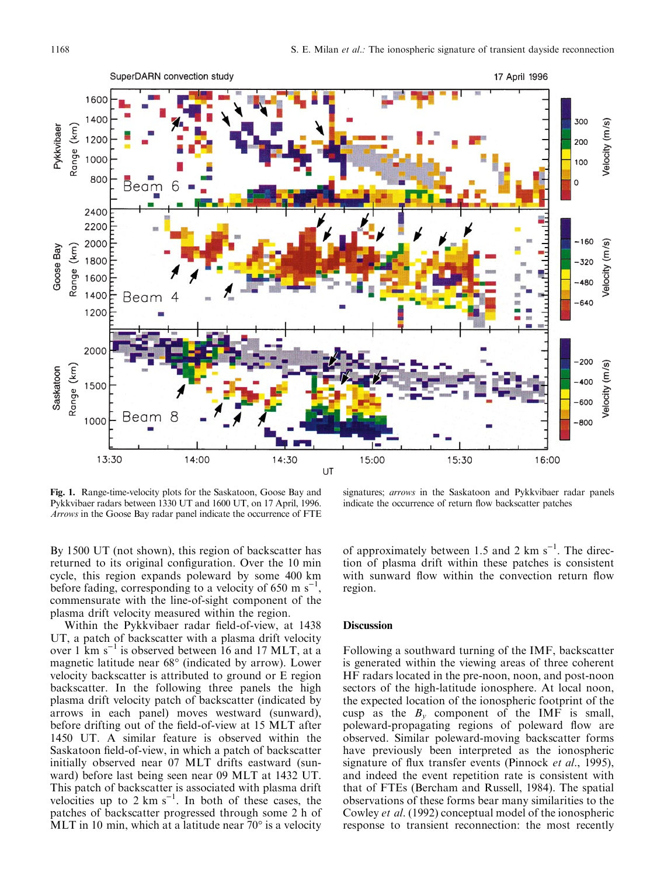

Fig. 1. Range-time-velocity plots for the Saskatoon, Goose Bay and Pykkvibaer radars between 1330 UT and 1600 UT, on 17 April, 1996. Arrows in the Goose Bay radar panel indicate the occurrence of FTE

signatures; arrows in the Saskatoon and Pykkvibaer radar panels indicate the occurrence of return flow backscatter patches

By 1500 UT (not shown), this region of backscatter has returned to its original configuration. Over the 10 min cycle, this region expands poleward by some 400 km before fading, corresponding to a velocity of 650 m  $s^{-1}$ , commensurate with the line-of-sight component of the plasma drift velocity measured within the region.

Within the Pykkvibaer radar field-of-view, at 1438 UT, a patch of backscatter with a plasma drift velocity over 1  ${\rm km~s^{-1}}$  is observed between 16 and 17 MLT, at a magnetic latitude near 68° (indicated by arrow). Lower velocity backscatter is attributed to ground or E region backscatter. In the following three panels the high plasma drift velocity patch of backscatter (indicated by arrows in each panel) moves westward (sunward), before drifting out of the field-of-view at 15 MLT after 1450 UT. A similar feature is observed within the Saskatoon field-of-view, in which a patch of backscatter initially observed near 07 MLT drifts eastward (sunward) before last being seen near 09 MLT at 1432 UT. This patch of backscatter is associated with plasma drift velocities up to 2 km  $s^{-1}$ . In both of these cases, the patches of backscatter progressed through some 2 h of MLT in 10 min, which at a latitude near 70° is a velocity

of approximately between 1.5 and 2  $km s^{-1}$ . The direction of plasma drift within these patches is consistent with sunward flow within the convection return flow region.

### **Discussion**

Following a southward turning of the IMF, backscatter is generated within the viewing areas of three coherent HF radars located in the pre-noon, noon, and post-noon sectors of the high-latitude ionosphere. At local noon, the expected location of the ionospheric footprint of the cusp as the  $B_y$  component of the IMF is small, poleward-propagating regions of poleward flow are observed. Similar poleward-moving backscatter forms have previously been interpreted as the ionospheric signature of flux transfer events (Pinnock  $et$  al., 1995), and indeed the event repetition rate is consistent with that of FTEs (Bercham and Russell, 1984). The spatial observations of these forms bear many similarities to the Cowley et al. (1992) conceptual model of the ionospheric response to transient reconnection: the most recently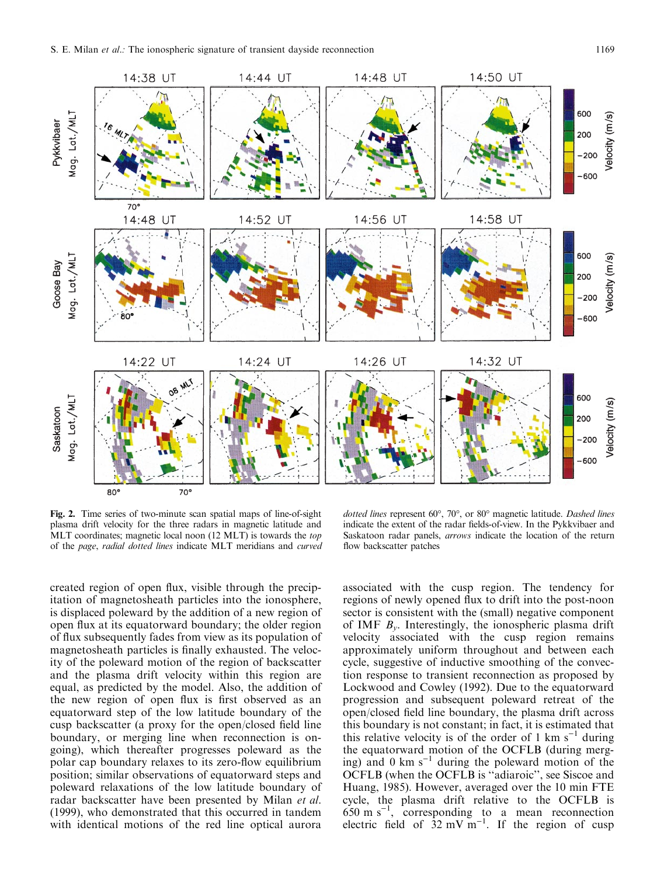

Fig. 2. Time series of two-minute scan spatial maps of line-of-sight plasma drift velocity for the three radars in magnetic latitude and MLT coordinates; magnetic local noon (12 MLT) is towards the top of the page, radial dotted lines indicate MLT meridians and curved

dotted lines represent 60°, 70°, or 80° magnetic latitude. Dashed lines indicate the extent of the radar fields-of-view. In the Pykkvibaer and Saskatoon radar panels, arrows indicate the location of the return flow backscatter patches

created region of open flux, visible through the precipitation of magnetosheath particles into the ionosphere, is displaced poleward by the addition of a new region of open flux at its equatorward boundary; the older region of flux subsequently fades from view as its population of magnetosheath particles is finally exhausted. The velocity of the poleward motion of the region of backscatter and the plasma drift velocity within this region are equal, as predicted by the model. Also, the addition of the new region of open flux is first observed as an equatorward step of the low latitude boundary of the cusp backscatter (a proxy for the open/closed field line boundary, or merging line when reconnection is ongoing), which thereafter progresses poleward as the polar cap boundary relaxes to its zero-flow equilibrium position; similar observations of equatorward steps and poleward relaxations of the low latitude boundary of radar backscatter have been presented by Milan et al. (1999), who demonstrated that this occurred in tandem with identical motions of the red line optical aurora

associated with the cusp region. The tendency for regions of newly opened flux to drift into the post-noon sector is consistent with the (small) negative component of IMF  $B<sub>v</sub>$ . Interestingly, the ionospheric plasma drift velocity associated with the cusp region remains approximately uniform throughout and between each cycle, suggestive of inductive smoothing of the convection response to transient reconnection as proposed by Lockwood and Cowley (1992). Due to the equatorward progression and subsequent poleward retreat of the open/closed field line boundary, the plasma drift across this boundary is not constant; in fact, it is estimated that this relative velocity is of the order of 1 km  $s^{-1}$  during the equatorward motion of the OCFLB (during merging) and 0 km  $s^{-1}$  during the poleward motion of the OCFLB (when the OCFLB is "adiaroic", see Siscoe and Huang, 1985). However, averaged over the 10 min FTE cycle, the plasma drift relative to the OCFLB is  $650 \text{ m s}^{-1}$ , corresponding to a mean reconnection electric field of  $32 \text{ mV m}^{-1}$ . If the region of cusp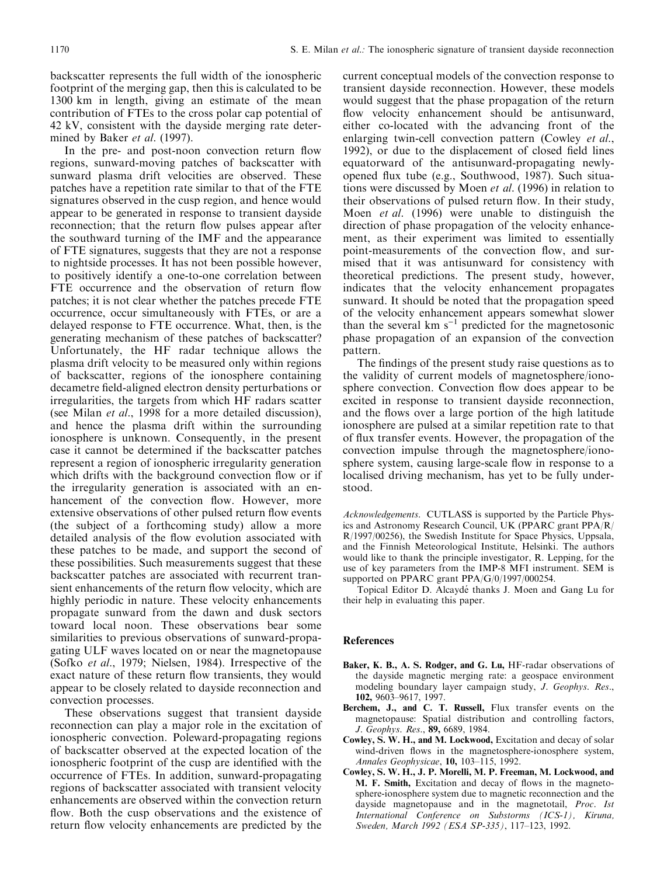backscatter represents the full width of the ionospheric footprint of the merging gap, then this is calculated to be 1300 km in length, giving an estimate of the mean contribution of FTEs to the cross polar cap potential of 42 kV, consistent with the dayside merging rate determined by Baker et al. (1997).

In the pre- and post-noon convection return flow regions, sunward-moving patches of backscatter with sunward plasma drift velocities are observed. These patches have a repetition rate similar to that of the FTE signatures observed in the cusp region, and hence would appear to be generated in response to transient dayside reconnection; that the return flow pulses appear after the southward turning of the IMF and the appearance of FTE signatures, suggests that they are not a response to nightside processes. It has not been possible however, to positively identify a one-to-one correlation between FTE occurrence and the observation of return flow patches; it is not clear whether the patches precede FTE occurrence, occur simultaneously with FTEs, or are a delayed response to FTE occurrence. What, then, is the generating mechanism of these patches of backscatter? Unfortunately, the HF radar technique allows the plasma drift velocity to be measured only within regions of backscatter, regions of the ionosphere containing decametre field-aligned electron density perturbations or irregularities, the targets from which HF radars scatter (see Milan et al., 1998 for a more detailed discussion), and hence the plasma drift within the surrounding ionosphere is unknown. Consequently, in the present case it cannot be determined if the backscatter patches represent a region of ionospheric irregularity generation which drifts with the background convection flow or if the irregularity generation is associated with an enhancement of the convection flow. However, more extensive observations of other pulsed return flow events (the subject of a forthcoming study) allow a more detailed analysis of the flow evolution associated with these patches to be made, and support the second of these possibilities. Such measurements suggest that these backscatter patches are associated with recurrent transient enhancements of the return flow velocity, which are highly periodic in nature. These velocity enhancements propagate sunward from the dawn and dusk sectors toward local noon. These observations bear some similarities to previous observations of sunward-propagating ULF waves located on or near the magnetopause (Sofko et al., 1979; Nielsen, 1984). Irrespective of the exact nature of these return flow transients, they would appear to be closely related to dayside reconnection and convection processes.

These observations suggest that transient dayside reconnection can play a major role in the excitation of ionospheric convection. Poleward-propagating regions of backscatter observed at the expected location of the ionospheric footprint of the cusp are identified with the occurrence of FTEs. In addition, sunward-propagating regions of backscatter associated with transient velocity enhancements are observed within the convection return flow. Both the cusp observations and the existence of return flow velocity enhancements are predicted by the

current conceptual models of the convection response to transient dayside reconnection. However, these models would suggest that the phase propagation of the return flow velocity enhancement should be antisunward, either co-located with the advancing front of the enlarging twin-cell convection pattern (Cowley et al., 1992), or due to the displacement of closed field lines equatorward of the antisunward-propagating newlyopened flux tube (e.g., Southwood, 1987). Such situations were discussed by Moen et al. (1996) in relation to their observations of pulsed return flow. In their study, Moen et al. (1996) were unable to distinguish the direction of phase propagation of the velocity enhancement, as their experiment was limited to essentially point-measurements of the convection flow, and surmised that it was antisunward for consistency with theoretical predictions. The present study, however, indicates that the velocity enhancement propagates sunward. It should be noted that the propagation speed of the velocity enhancement appears somewhat slower than the several  $km s^{-1}$  predicted for the magnetosonic phase propagation of an expansion of the convection pattern.

The findings of the present study raise questions as to the validity of current models of magnetosphere/ionosphere convection. Convection flow does appear to be excited in response to transient dayside reconnection, and the flows over a large portion of the high latitude ionosphere are pulsed at a similar repetition rate to that of flux transfer events. However, the propagation of the convection impulse through the magnetosphere/ionosphere system, causing large-scale flow in response to a localised driving mechanism, has yet to be fully understood.

Acknowledgements. CUTLASS is supported by the Particle Physics and Astronomy Research Council, UK (PPARC grant PPA/R/ R/1997/00256), the Swedish Institute for Space Physics, Uppsala, and the Finnish Meteorological Institute, Helsinki. The authors would like to thank the principle investigator, R. Lepping, for the use of key parameters from the IMP-8 MFI instrument. SEM is supported on PPARC grant PPA/G/0/1997/000254.

Topical Editor D. Alcaydé thanks J. Moen and Gang Lu for their help in evaluating this paper.

#### References

- Baker, K. B., A. S. Rodger, and G. Lu, HF-radar observations of the dayside magnetic merging rate: a geospace environment modeling boundary layer campaign study, J. Geophys. Res., 102, 9603-9617, 1997.
- Berchem, J., and C. T. Russell, Flux transfer events on the magnetopause: Spatial distribution and controlling factors, J. Geophys. Res., 89, 6689, 1984.
- Cowley, S. W. H., and M. Lockwood, Excitation and decay of solar wind-driven flows in the magnetosphere-ionosphere system, Annales Geophysicae, 10, 103-115, 1992.
- Cowley, S. W. H., J. P. Morelli, M. P. Freeman, M. Lockwood, and M. F. Smith, Excitation and decay of flows in the magnetosphere-ionosphere system due to magnetic reconnection and the dayside magnetopause and in the magnetotail, *Proc.* Ist International Conference on Substorms (ICS-1), Kiruna, Sweden, March 1992 (ESA SP-335), 117-123, 1992.